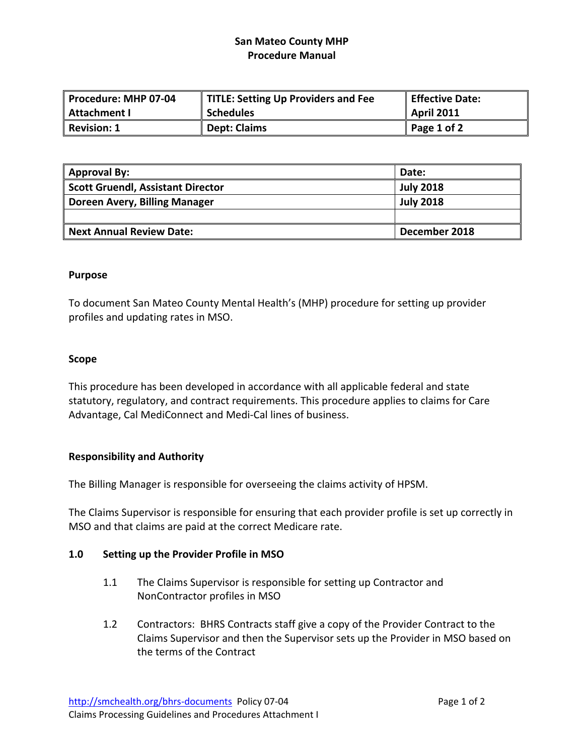# **San Mateo County MHP Procedure Manual**

| Procedure: MHP 07-04 | TITLE: Setting Up Providers and Fee | Effective Date:   |
|----------------------|-------------------------------------|-------------------|
| Attachment I         | <b>Schedules</b>                    | <b>April 2011</b> |
| Revision: 1          | Dept: Claims                        | Page 1 of 2       |

| <b>Approval By:</b>                      | Date:            |
|------------------------------------------|------------------|
| <b>Scott Gruendl, Assistant Director</b> | <b>July 2018</b> |
| Doreen Avery, Billing Manager            | <b>July 2018</b> |
|                                          |                  |
| <b>Next Annual Review Date:</b>          | December 2018    |

### **Purpose**

To document San Mateo County Mental Health's (MHP) procedure for setting up provider profiles and updating rates in MSO.

### **Scope**

This procedure has been developed in accordance with all applicable federal and state statutory, regulatory, and contract requirements. This procedure applies to claims for Care Advantage, Cal MediConnect and Medi‐Cal lines of business.

### **Responsibility and Authority**

The Billing Manager is responsible for overseeing the claims activity of HPSM.

The Claims Supervisor is responsible for ensuring that each provider profile is set up correctly in MSO and that claims are paid at the correct Medicare rate.

### **1.0 Setting up the Provider Profile in MSO**

- 1.1 The Claims Supervisor is responsible for setting up Contractor and NonContractor profiles in MSO
- 1.2 Contractors: BHRS Contracts staff give a copy of the Provider Contract to the Claims Supervisor and then the Supervisor sets up the Provider in MSO based on the terms of the Contract